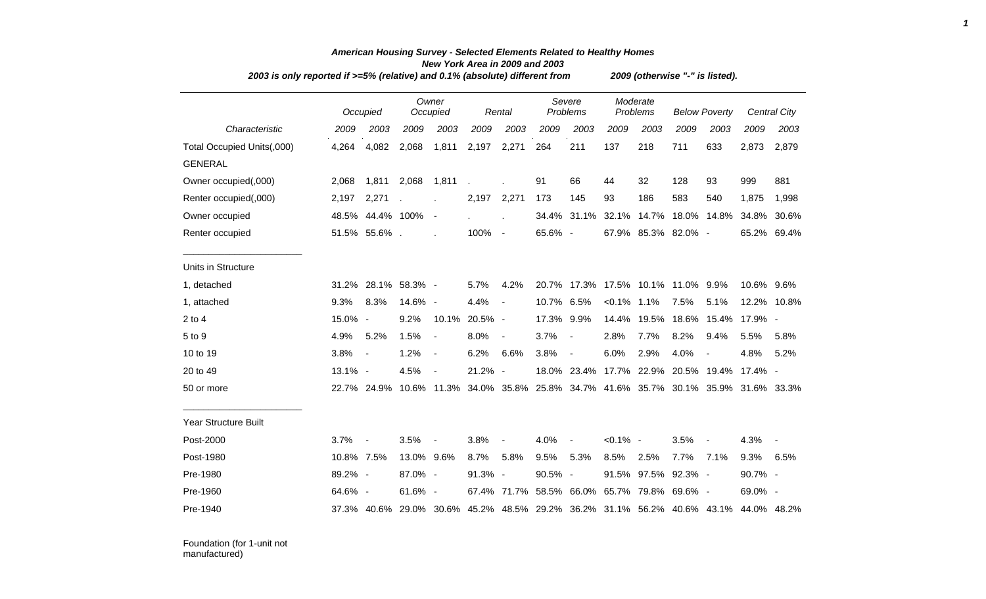|                            | 2003 is only reported if $>=5\%$ (relative) and 0.1% (absolute) different from |                     |            |                          |               |                |            | 2009 (otherwise "-" is listed).    |                |                         |         |                          |                                                                                     |              |
|----------------------------|--------------------------------------------------------------------------------|---------------------|------------|--------------------------|---------------|----------------|------------|------------------------------------|----------------|-------------------------|---------|--------------------------|-------------------------------------------------------------------------------------|--------------|
|                            |                                                                                | Occupied            |            | Owner<br>Occupied        |               | Rental         |            | Severe<br>Problems                 |                | Moderate<br>Problems    |         | <b>Below Poverty</b>     |                                                                                     | Central City |
| Characteristic             | 2009                                                                           | 2003                | 2009       | 2003                     | 2009          | 2003           | 2009       | 2003                               | 2009           | 2003                    | 2009    | 2003                     | 2009                                                                                | 2003         |
| Total Occupied Units(,000) | 4,264                                                                          | 4,082               | 2,068      | 1,811                    | 2,197         | 2,271          | 264        | 211                                | 137            | 218                     | 711     | 633                      | 2,873                                                                               | 2,879        |
| <b>GENERAL</b>             |                                                                                |                     |            |                          |               |                |            |                                    |                |                         |         |                          |                                                                                     |              |
| Owner occupied(,000)       | 2,068                                                                          | 1.811               | 2,068      | 1,811                    |               |                | 91         | 66                                 | 44             | 32                      | 128     | 93                       | 999                                                                                 | 881          |
| Renter occupied(,000)      | 2,197                                                                          | 2,271               |            |                          | 2,197 2,271   |                | 173        | 145                                | 93             | 186                     | 583     | 540                      | 1,875                                                                               | 1,998        |
| Owner occupied             |                                                                                | 48.5% 44.4% 100%    |            | $\overline{\phantom{a}}$ |               | $\overline{a}$ |            | 34.4% 31.1%                        |                | 32.1% 14.7%             |         | 18.0% 14.8%              | 34.8%                                                                               | 30.6%        |
| Renter occupied            |                                                                                | 51.5% 55.6%.        |            |                          | 100%          | $\sim$ $-$     | 65.6% -    |                                    |                | 67.9% 85.3% 82.0% -     |         |                          |                                                                                     | 65.2% 69.4%  |
| Units in Structure         |                                                                                |                     |            |                          |               |                |            |                                    |                |                         |         |                          |                                                                                     |              |
| 1, detached                |                                                                                | 31.2% 28.1% 58.3% - |            |                          | 5.7%          | 4.2%           |            | 20.7% 17.3% 17.5% 10.1% 11.0% 9.9% |                |                         |         |                          | 10.6% 9.6%                                                                          |              |
| 1, attached                | 9.3%                                                                           | 8.3%                | 14.6% -    |                          | 4.4%          | $\blacksquare$ | 10.7% 6.5% |                                    | $< 0.1\%$ 1.1% |                         | 7.5%    | 5.1%                     |                                                                                     | 12.2% 10.8%  |
| $2$ to $4$                 | 15.0% -                                                                        |                     | 9.2%       |                          | 10.1% 20.5% - |                | 17.3% 9.9% |                                    | 14.4%          | 19.5%                   |         | 18.6% 15.4%              | 17.9% -                                                                             |              |
| 5 to 9                     | 4.9%                                                                           | 5.2%                | 1.5%       | $\overline{\phantom{a}}$ | 8.0%          | $\blacksquare$ | 3.7%       | $\sim$                             | 2.8%           | 7.7%                    | 8.2%    | 9.4%                     | 5.5%                                                                                | 5.8%         |
| 10 to 19                   | 3.8%                                                                           | $\blacksquare$      | 1.2%       | $\overline{\phantom{a}}$ | 6.2%          | 6.6%           | 3.8%       | $\sim$                             | 6.0%           | 2.9%                    | 4.0%    |                          | 4.8%                                                                                | 5.2%         |
| 20 to 49                   | 13.1% -                                                                        |                     | 4.5%       | $\blacksquare$           | 21.2% -       |                |            | 18.0% 23.4%                        |                | 17.7% 22.9% 20.5% 19.4% |         |                          | 17.4% -                                                                             |              |
| 50 or more                 |                                                                                |                     |            |                          |               |                |            |                                    |                |                         |         |                          | 22.7% 24.9% 10.6% 11.3% 34.0% 35.8% 25.8% 34.7% 41.6% 35.7% 30.1% 35.9% 31.6% 33.3% |              |
| Year Structure Built       |                                                                                |                     |            |                          |               |                |            |                                    |                |                         |         |                          |                                                                                     |              |
| Post-2000                  | 3.7%                                                                           |                     | 3.5%       |                          | 3.8%          |                | 4.0%       | $\overline{\phantom{a}}$           | $< 0.1\%$ -    |                         | 3.5%    | $\overline{\phantom{a}}$ | 4.3%                                                                                |              |
| Post-1980                  | 10.8% 7.5%                                                                     |                     | 13.0% 9.6% |                          | 8.7%          | 5.8%           | 9.5%       | 5.3%                               | 8.5%           | 2.5%                    | 7.7%    | 7.1%                     | 9.3%                                                                                | 6.5%         |
| Pre-1980                   | 89.2% -                                                                        |                     | 87.0% -    |                          | 91.3% -       |                | 90.5% -    |                                    |                | 91.5% 97.5%             | 92.3% - |                          | 90.7% -                                                                             |              |
| Pre-1960                   | 64.6% -                                                                        |                     | 61.6% -    |                          |               | 67.4% 71.7%    |            | 58.5% 66.0% 65.7% 79.8%            |                |                         | 69.6% - |                          | $69.0\%$ -                                                                          |              |
| Pre-1940                   |                                                                                |                     |            |                          |               |                |            |                                    |                |                         |         |                          | 37.3% 40.6% 29.0% 30.6% 45.2% 48.5% 29.2% 36.2% 31.1% 56.2% 40.6% 43.1% 44.0% 48.2% |              |
|                            |                                                                                |                     |            |                          |               |                |            |                                    |                |                         |         |                          |                                                                                     |              |

## *American Housing Survey - Selected Elements Related to Healthy Homes New York Area in 2009 and 2003*

*1*

Foundation (for 1-unit not manufactured)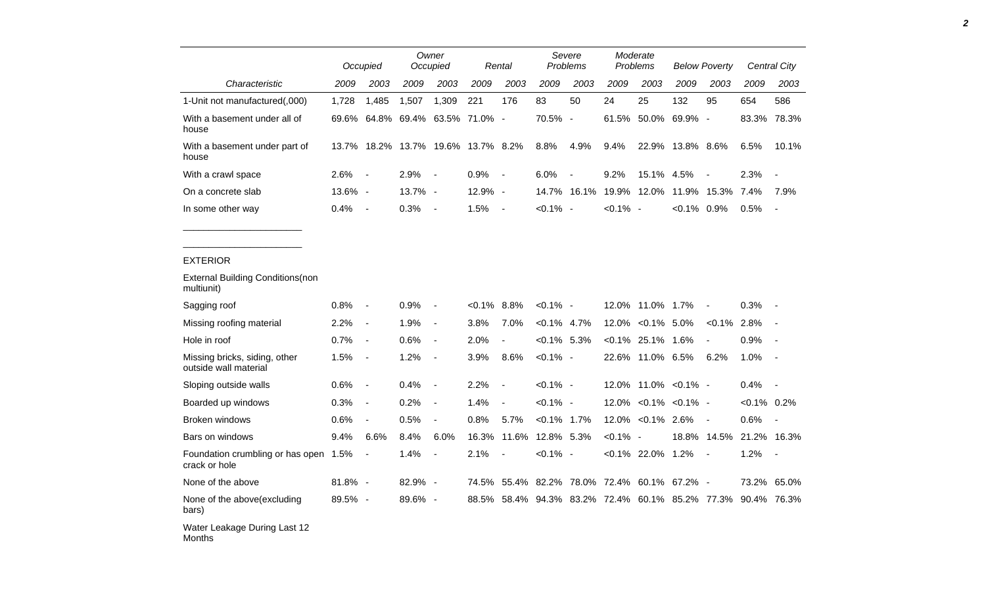|                                                        |         | Occupied                     |                                    | Owner<br>Occupied        |          | Rental                   |                | Severe<br>Problems                        |             | Moderate<br>Problems     |                       | <b>Below Poverty</b>     |                | <b>Central City</b>      |
|--------------------------------------------------------|---------|------------------------------|------------------------------------|--------------------------|----------|--------------------------|----------------|-------------------------------------------|-------------|--------------------------|-----------------------|--------------------------|----------------|--------------------------|
| Characteristic                                         | 2009    | 2003                         | 2009                               | 2003                     | 2009     | 2003                     | 2009           | 2003                                      | 2009        | 2003                     | 2009                  | 2003                     | 2009           | 2003                     |
| 1-Unit not manufactured(,000)                          | 1,728   | 1,485                        | 1,507                              | 1,309                    | 221      | 176                      | 83             | 50                                        | 24          | 25                       | 132                   | 95                       | 654            | 586                      |
| With a basement under all of<br>house                  |         |                              | 69.6% 64.8% 69.4% 63.5% 71.0% -    |                          |          |                          | 70.5%          | $\sim$                                    | 61.5%       | 50.0%                    | 69.9% -               |                          | 83.3%          | 78.3%                    |
| With a basement under part of<br>house                 |         |                              | 13.7% 18.2% 13.7% 19.6% 13.7% 8.2% |                          |          |                          | 8.8%           | 4.9%                                      | 9.4%        | 22.9%                    | 13.8% 8.6%            |                          | 6.5%           | 10.1%                    |
| With a crawl space                                     | 2.6%    | $\blacksquare$               | 2.9%                               | $\overline{\phantom{a}}$ | 0.9%     | $\blacksquare$           | 6.0%           |                                           | 9.2%        | 15.1%                    | 4.5%                  |                          | 2.3%           |                          |
| On a concrete slab                                     | 13.6% - |                              | 13.7% -                            |                          | 12.9% -  |                          | 14.7%          | 16.1%                                     | 19.9%       | 12.0%                    |                       | 11.9% 15.3%              | 7.4%           | 7.9%                     |
| In some other way                                      | 0.4%    | $\overline{\phantom{a}}$     | 0.3%                               | $\blacksquare$           | 1.5%     | $\overline{\phantom{a}}$ | $< 0.1\%$ -    |                                           | $< 0.1\%$ - |                          | $< 0.1\%$ 0.9%        |                          | 0.5%           | $\overline{\phantom{a}}$ |
|                                                        |         |                              |                                    |                          |          |                          |                |                                           |             |                          |                       |                          |                |                          |
| <b>EXTERIOR</b>                                        |         |                              |                                    |                          |          |                          |                |                                           |             |                          |                       |                          |                |                          |
| <b>External Building Conditions (non</b><br>multiunit) |         |                              |                                    |                          |          |                          |                |                                           |             |                          |                       |                          |                |                          |
| Sagging roof                                           | 0.8%    | $\overline{a}$               | 0.9%                               | $\blacksquare$           | $<0.1\%$ | 8.8%                     | $< 0.1\%$ -    |                                           | 12.0%       | 11.0% 1.7%               |                       | $\overline{\phantom{a}}$ | 0.3%           |                          |
| Missing roofing material                               | 2.2%    | $\blacksquare$               | 1.9%                               | $\blacksquare$           | 3.8%     | 7.0%                     | $< 0.1\%$ 4.7% |                                           | 12.0%       | $< 0.1\%$ 5.0%           |                       | $< 0.1\%$                | 2.8%           |                          |
| Hole in roof                                           | 0.7%    | $\blacksquare$               | 0.6%                               | $\overline{\phantom{a}}$ | 2.0%     | $\overline{a}$           | $< 0.1\%$ 5.3% |                                           |             | $< 0.1\%$ 25.1% 1.6%     |                       | $\overline{\phantom{a}}$ | 0.9%           |                          |
| Missing bricks, siding, other<br>outside wall material | 1.5%    | $\blacksquare$               | 1.2%                               | $\blacksquare$           | 3.9%     | 8.6%                     | $< 0.1\%$ -    |                                           | 22.6%       | 11.0% 6.5%               |                       | 6.2%                     | 1.0%           |                          |
| Sloping outside walls                                  | 0.6%    | $\qquad \qquad \blacksquare$ | 0.4%                               | $\overline{\phantom{a}}$ | 2.2%     | $\overline{a}$           | $< 0.1\%$ -    |                                           | 12.0%       |                          | 11.0% < 0.1% -        |                          | 0.4%           |                          |
| Boarded up windows                                     | 0.3%    | $\qquad \qquad \blacksquare$ | 0.2%                               | $\blacksquare$           | 1.4%     | $\frac{1}{2}$            | $< 0.1\%$ -    |                                           | 12.0%       |                          | $< 0.1\%$ $< 0.1\%$ - |                          | $< 0.1\%$ 0.2% |                          |
| Broken windows                                         | 0.6%    | $\blacksquare$               | 0.5%                               | $\blacksquare$           | 0.8%     | 5.7%                     | $< 0.1\%$ 1.7% |                                           |             | 12.0% < 0.1% 2.6%        |                       | $\overline{\phantom{a}}$ | 0.6%           | $\overline{\phantom{a}}$ |
| Bars on windows                                        | 9.4%    | 6.6%                         | 8.4%                               | 6.0%                     | 16.3%    | 11.6%                    | 12.8% 5.3%     |                                           | $< 0.1\%$   | $\overline{\phantom{a}}$ |                       | 18.8% 14.5%              |                | 21.2% 16.3%              |
| Foundation crumbling or has open<br>crack or hole      | 1.5%    | $\blacksquare$               | 1.4%                               | $\overline{\phantom{a}}$ | 2.1%     |                          | $< 0.1\%$ -    |                                           |             | $<0.1\%$ 22.0% 1.2%      |                       | $\overline{\phantom{a}}$ | 1.2%           | $\blacksquare$           |
| None of the above                                      | 81.8% - |                              | 82.9%                              | $\overline{\phantom{a}}$ | 74.5%    | 55.4%                    |                | 82.2% 78.0% 72.4%                         |             | 60.1%                    | 67.2% -               |                          | 73.2%          | 65.0%                    |
| None of the above (excluding<br>bars)                  | 89.5% - |                              | 89.6% -                            |                          | 88.5%    |                          |                | 58.4% 94.3% 83.2% 72.4% 60.1% 85.2% 77.3% |             |                          |                       |                          |                | 90.4% 76.3%              |
| Water Leakage During Last 12<br>Months                 |         |                              |                                    |                          |          |                          |                |                                           |             |                          |                       |                          |                |                          |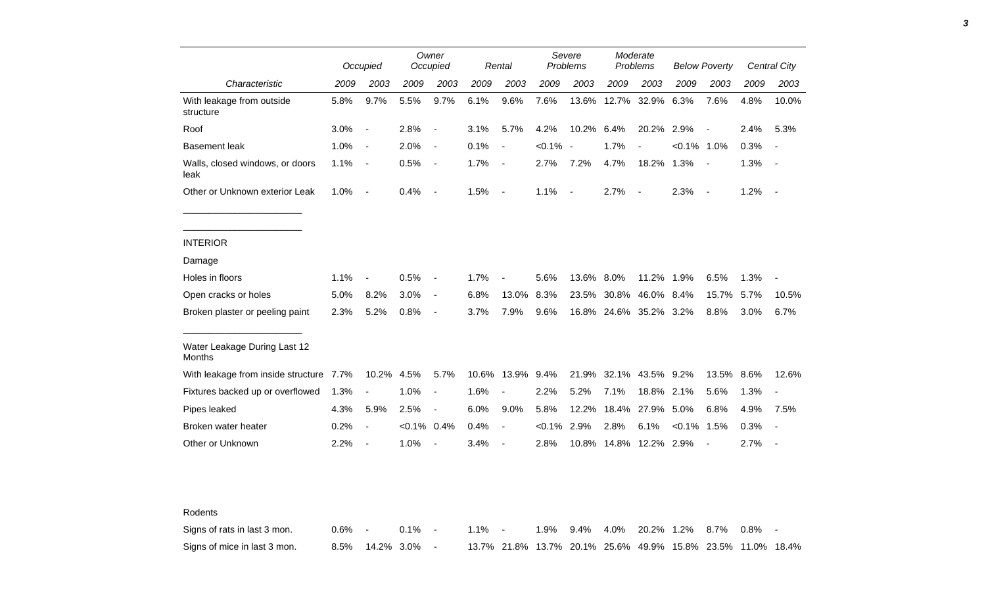|                                         |      | Occupied                 |                | Owner<br>Occupied        |      | Rental                   |                | Severe<br>Problems |                        | Moderate<br>Problems |                | <b>Below Poverty</b> |      | <b>Central City</b>      |
|-----------------------------------------|------|--------------------------|----------------|--------------------------|------|--------------------------|----------------|--------------------|------------------------|----------------------|----------------|----------------------|------|--------------------------|
| Characteristic                          | 2009 | 2003                     | 2009           | 2003                     | 2009 | 2003                     | 2009           | 2003               | 2009                   | 2003                 | 2009           | 2003                 | 2009 | 2003                     |
| With leakage from outside<br>structure  | 5.8% | 9.7%                     | 5.5%           | 9.7%                     | 6.1% | 9.6%                     | 7.6%           |                    | 13.6% 12.7% 32.9%      |                      | 6.3%           | 7.6%                 | 4.8% | 10.0%                    |
| Roof                                    | 3.0% | $\overline{\phantom{a}}$ | 2.8%           | $\blacksquare$           | 3.1% | 5.7%                     | 4.2%           | 10.2% 6.4%         |                        | 20.2% 2.9%           |                | $\blacksquare$       | 2.4% | 5.3%                     |
| <b>Basement leak</b>                    | 1.0% | $\sim$ $-$               | 2.0%           | $\blacksquare$           | 0.1% | $\overline{\phantom{a}}$ | $< 0.1\%$ -    |                    | 1.7%                   | $\blacksquare$       | $< 0.1\%$ 1.0% |                      | 0.3% | $\overline{\phantom{a}}$ |
| Walls, closed windows, or doors<br>leak | 1.1% | $\sim$ $-$               | 0.5%           | $\blacksquare$           | 1.7% | $\blacksquare$           | 2.7%           | 7.2%               | 4.7%                   | 18.2% 1.3%           |                |                      | 1.3% | $\overline{\phantom{a}}$ |
| Other or Unknown exterior Leak          | 1.0% | $\sim$                   | 0.4%           | $\blacksquare$           | 1.5% | $\overline{\phantom{a}}$ | 1.1%           | $\sim$             | 2.7%                   | $\sim$               | 2.3%           | $\sim$ $-$           | 1.2% | $\sim$                   |
|                                         |      |                          |                |                          |      |                          |                |                    |                        |                      |                |                      |      |                          |
| <b>INTERIOR</b>                         |      |                          |                |                          |      |                          |                |                    |                        |                      |                |                      |      |                          |
| Damage                                  |      |                          |                |                          |      |                          |                |                    |                        |                      |                |                      |      |                          |
| Holes in floors                         | 1.1% | $\blacksquare$           | 0.5%           | $\blacksquare$           | 1.7% | $\overline{\phantom{a}}$ | 5.6%           | 13.6% 8.0%         |                        | 11.2% 1.9%           |                | 6.5%                 | 1.3% |                          |
| Open cracks or holes                    | 5.0% | 8.2%                     | 3.0%           | $\blacksquare$           | 6.8% | 13.0%                    | 8.3%           |                    | 23.5% 30.8% 46.0% 8.4% |                      |                | 15.7%                | 5.7% | 10.5%                    |
| Broken plaster or peeling paint         | 2.3% | 5.2%                     | 0.8%           | $\sim$                   | 3.7% | 7.9%                     | 9.6%           |                    | 16.8% 24.6% 35.2% 3.2% |                      |                | 8.8%                 | 3.0% | 6.7%                     |
| Water Leakage During Last 12<br>Months  |      |                          |                |                          |      |                          |                |                    |                        |                      |                |                      |      |                          |
| With leakage from inside structure 7.7% |      | 10.2% 4.5%               |                | 5.7%                     |      | 10.6% 13.9% 9.4%         |                |                    | 21.9% 32.1% 43.5% 9.2% |                      |                | 13.5% 8.6%           |      | 12.6%                    |
| Fixtures backed up or overflowed        | 1.3% | $\blacksquare$           | 1.0%           | $\blacksquare$           | 1.6% | $\sim$                   | 2.2%           | 5.2%               | 7.1%                   | 18.8% 2.1%           |                | 5.6%                 | 1.3% | $\overline{a}$           |
| Pipes leaked                            | 4.3% | 5.9%                     | 2.5%           | $\blacksquare$           | 6.0% | $9.0\%$                  | 5.8%           | 12.2%              |                        | 18.4% 27.9%          | 5.0%           | 6.8%                 | 4.9% | 7.5%                     |
| Broken water heater                     | 0.2% | $\blacksquare$           | $< 0.1\%$ 0.4% |                          | 0.4% | $\blacksquare$           | $< 0.1\%$ 2.9% |                    | 2.8%                   | 6.1%                 | $< 0.1\%$ 1.5% |                      | 0.3% | $\blacksquare$           |
|                                         | 2.2% | $\overline{\phantom{a}}$ | 1.0%           | $\overline{\phantom{a}}$ | 3.4% | $\overline{\phantom{a}}$ | 2.8%           |                    | 10.8% 14.8% 12.2% 2.9% |                      |                | $\blacksquare$       | 2.7% |                          |

| Signs of rats in last 3 mon. | $0.6\%$ - | $0.1\%$ - | $1.1\%$ - |  |  | 1.9% 9.4% 4.0% 20.2% 1.2% 8.7% 0.8% -                       |  |  |
|------------------------------|-----------|-----------|-----------|--|--|-------------------------------------------------------------|--|--|
| Signs of mice in last 3 mon. |           |           |           |  |  | 13.7% 21.8% 13.7% 20.1% 25.6% 49.9% 15.8% 23.5% 11.0% 18.4% |  |  |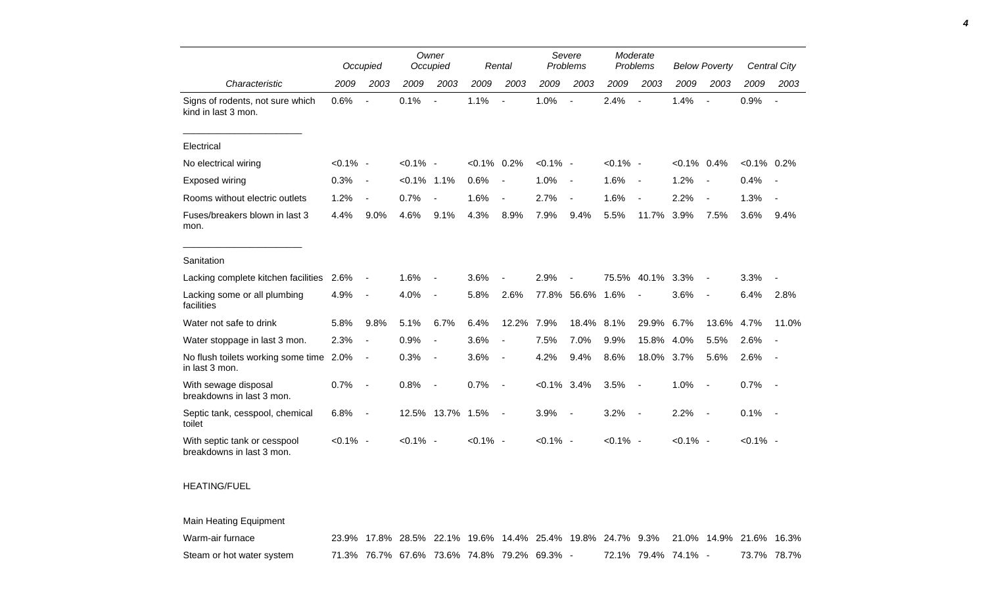|                                                           |             | Occupied                 |             | Owner<br>Occupied        |                | Rental                   |                | Severe<br>Problems       |             | Moderate<br>Problems     |                | <b>Below Poverty</b>     |                | Central City             |
|-----------------------------------------------------------|-------------|--------------------------|-------------|--------------------------|----------------|--------------------------|----------------|--------------------------|-------------|--------------------------|----------------|--------------------------|----------------|--------------------------|
| Characteristic                                            | 2009        | 2003                     | 2009        | 2003                     | 2009           | 2003                     | 2009           | 2003                     | 2009        | 2003                     | 2009           | 2003                     | 2009           | 2003                     |
| Signs of rodents, not sure which<br>kind in last 3 mon.   | 0.6%        | $\overline{\phantom{a}}$ | 0.1%        | $\overline{\phantom{a}}$ | 1.1%           | $\blacksquare$           | 1.0%           | $\blacksquare$           | 2.4%        | $\blacksquare$           | 1.4%           | $\overline{\phantom{a}}$ | 0.9%           | $\overline{\phantom{a}}$ |
| Electrical                                                |             |                          |             |                          |                |                          |                |                          |             |                          |                |                          |                |                          |
| No electrical wiring                                      | $< 0.1\%$ - |                          | $< 0.1\%$ - |                          | $< 0.1\%$ 0.2% |                          | $< 0.1\%$ -    |                          | $< 0.1\%$ - |                          | $< 0.1\%$ 0.4% |                          | $< 0.1\%$ 0.2% |                          |
| <b>Exposed wiring</b>                                     | 0.3%        | $\overline{\phantom{a}}$ | $< 0.1\%$   | 1.1%                     | 0.6%           | $\overline{\phantom{a}}$ | 1.0%           | $\blacksquare$           | 1.6%        | $\overline{\phantom{a}}$ | 1.2%           | $\overline{\phantom{a}}$ | 0.4%           |                          |
| Rooms without electric outlets                            | 1.2%        | $\overline{\phantom{a}}$ | 0.7%        | $\blacksquare$           | 1.6%           | $\overline{\phantom{a}}$ | 2.7%           | $\overline{\phantom{a}}$ | 1.6%        | $\overline{\phantom{a}}$ | 2.2%           | $\overline{\phantom{a}}$ | 1.3%           |                          |
| Fuses/breakers blown in last 3<br>mon.                    | 4.4%        | 9.0%                     | 4.6%        | 9.1%                     | 4.3%           | 8.9%                     | 7.9%           | 9.4%                     | 5.5%        | 11.7%                    | 3.9%           | 7.5%                     | 3.6%           | 9.4%                     |
| Sanitation                                                |             |                          |             |                          |                |                          |                |                          |             |                          |                |                          |                |                          |
| Lacking complete kitchen facilities                       | 2.6%        | $\overline{\phantom{a}}$ | 1.6%        | $\overline{\phantom{a}}$ | 3.6%           |                          | 2.9%           | $\blacksquare$           | 75.5%       | 40.1%                    | 3.3%           | $\overline{\phantom{a}}$ | 3.3%           |                          |
| Lacking some or all plumbing<br>facilities                | 4.9%        | $\overline{\phantom{a}}$ | 4.0%        | $\overline{\phantom{a}}$ | 5.8%           | 2.6%                     |                | 77.8% 56.6%              | 1.6%        |                          | 3.6%           | $\overline{\phantom{a}}$ | 6.4%           | 2.8%                     |
| Water not safe to drink                                   | 5.8%        | 9.8%                     | 5.1%        | 6.7%                     | 6.4%           | 12.2%                    | 7.9%           | 18.4%                    | 8.1%        | 29.9%                    | 6.7%           | 13.6%                    | 4.7%           | 11.0%                    |
| Water stoppage in last 3 mon.                             | 2.3%        | $\overline{\phantom{a}}$ | 0.9%        | $\blacksquare$           | 3.6%           | $\blacksquare$           | 7.5%           | 7.0%                     | 9.9%        | 15.8%                    | 4.0%           | 5.5%                     | 2.6%           |                          |
| No flush toilets working some time 2.0%<br>in last 3 mon. |             | $\overline{\phantom{a}}$ | 0.3%        | $\overline{\phantom{a}}$ | 3.6%           | $\overline{\phantom{a}}$ | 4.2%           | 9.4%                     | 8.6%        | 18.0%                    | 3.7%           | 5.6%                     | 2.6%           | $\sim$                   |
| With sewage disposal<br>breakdowns in last 3 mon.         | 0.7%        |                          | 0.8%        |                          | 0.7%           | $\overline{\phantom{a}}$ | $< 0.1\%$ 3.4% |                          | 3.5%        | $\overline{\phantom{a}}$ | 1.0%           | $\sim$                   | 0.7%           | $\overline{\phantom{a}}$ |
| Septic tank, cesspool, chemical<br>toilet                 | 6.8%        | $\overline{\phantom{a}}$ |             | 12.5% 13.7% 1.5%         |                | $\blacksquare$           | 3.9%           | $\overline{\phantom{a}}$ | 3.2%        | $\sim$                   | 2.2%           | $\sim$                   | 0.1%           | $\sim$                   |
| With septic tank or cesspool<br>breakdowns in last 3 mon. | $< 0.1\%$ - |                          | $< 0.1\%$ - |                          | $< 0.1\%$ -    |                          | $< 0.1\%$ -    |                          | $< 0.1\%$ - |                          | $< 0.1\%$ -    |                          | $< 0.1\%$ -    |                          |

*4*

## HEATING/FUEL

Main Heating Equipment

| Warm-air furnace          |  | 23.9% 17.8% 28.5% 22.1% 19.6% 14.4% 25.4% 19.8% 24.7% 9.3% 21.0% 14.9% 21.6% 16.3% |  |  |  |                     |             |  |
|---------------------------|--|------------------------------------------------------------------------------------|--|--|--|---------------------|-------------|--|
| Steam or hot water system |  | 71.3% 76.7% 67.6% 73.6% 74.8% 79.2% 69.3%                                          |  |  |  | 72.1% 79.4% 74.1% - | 73.7% 78.7% |  |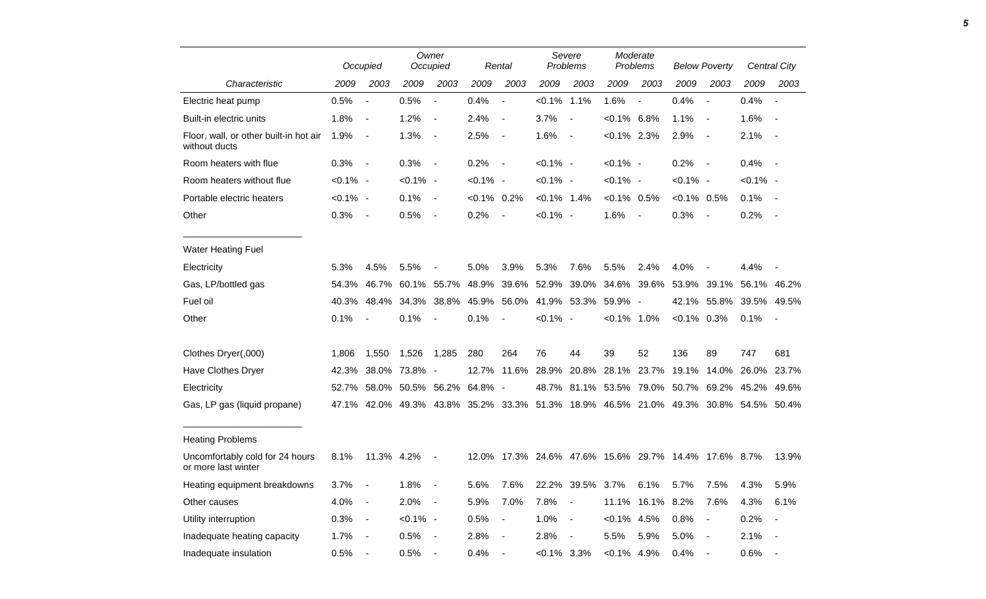|                                                         |             | Occupied                 |                                                                               | Owner<br>Occupied        |                | Rental                   |                | Severe<br>Problems                                   |                   | Moderate<br>Problems     |               | <b>Below Poverty</b>     |             | Central City             |
|---------------------------------------------------------|-------------|--------------------------|-------------------------------------------------------------------------------|--------------------------|----------------|--------------------------|----------------|------------------------------------------------------|-------------------|--------------------------|---------------|--------------------------|-------------|--------------------------|
| Characteristic                                          | 2009        | 2003                     | 2009                                                                          | 2003                     | 2009           | 2003                     | 2009           | 2003                                                 | 2009              | 2003                     | 2009          | 2003                     | 2009        | 2003                     |
| Electric heat pump                                      | 0.5%        | $\blacksquare$           | 0.5%                                                                          | $\overline{\phantom{a}}$ | 0.4%           | $\overline{\phantom{a}}$ | $< 0.1\%$ 1.1% |                                                      | 1.6%              | $\overline{\phantom{a}}$ | 0.4%          |                          | 0.4%        | $\overline{\phantom{a}}$ |
| Built-in electric units                                 | 1.8%        | $\blacksquare$           | 1.2%                                                                          | $\overline{\phantom{a}}$ | 2.4%           | $\overline{\phantom{a}}$ | 3.7%           | $\overline{\phantom{a}}$                             | $< 0.1\%$ 6.8%    |                          | 1.1%          | $\overline{\phantom{a}}$ | 1.6%        | $\blacksquare$           |
| Floor, wall, or other built-in hot air<br>without ducts | 1.9%        | $\blacksquare$           | 1.3%                                                                          | $\blacksquare$           | 2.5%           | $\overline{\phantom{a}}$ | 1.6%           | $\sim$                                               | $< 0.1\%$ 2.3%    |                          | 2.9%          | $\overline{\phantom{a}}$ | 2.1%        | $\overline{\phantom{a}}$ |
| Room heaters with flue                                  | 0.3%        | $\blacksquare$           | 0.3%                                                                          | $\blacksquare$           | 0.2%           | $\overline{\phantom{a}}$ | $< 0.1\%$ -    |                                                      | $< 0.1\%$ -       |                          | 0.2%          | $\sim$                   | 0.4%        | $\sim$ $-$               |
| Room heaters without flue                               | $< 0.1\%$ - |                          | $< 0.1\%$ -                                                                   |                          | $< 0.1\%$ -    |                          | $< 0.1\%$ -    |                                                      | $< 0.1\%$ -       |                          | $< 0.1\%$ -   |                          | $< 0.1\%$ - |                          |
| Portable electric heaters                               | $< 0.1\%$ - |                          | 0.1%                                                                          | $\blacksquare$           | $< 0.1\%$ 0.2% |                          | $< 0.1\%$ 1.4% |                                                      | $< 0.1\%$ 0.5%    |                          | $<0.1\%$ 0.5% |                          | 0.1%        |                          |
| Other                                                   | 0.3%        | $\blacksquare$           | 0.5%                                                                          | $\blacksquare$           | 0.2%           | $\blacksquare$           | $< 0.1\%$ -    |                                                      | 1.6%              | $\sim$ $-$               | 0.3%          | $\overline{\phantom{a}}$ | 0.2%        | $\blacksquare$           |
| <b>Water Heating Fuel</b>                               |             |                          |                                                                               |                          |                |                          |                |                                                      |                   |                          |               |                          |             |                          |
| Electricity                                             | 5.3%        | 4.5%                     | 5.5%                                                                          |                          | 5.0%           | 3.9%                     | 5.3%           | 7.6%                                                 | 5.5%              | 2.4%                     | 4.0%          |                          | 4.4%        |                          |
| Gas, LP/bottled gas                                     | 54.3%       | 46.7%                    | 60.1%                                                                         | 55.7%                    | 48.9%          | 39.6%                    | 52.9%          | 39.0%                                                | 34.6%             | 39.6%                    |               | 53.9% 39.1%              | 56.1% 46.2% |                          |
| Fuel oil                                                | 40.3%       | 48.4%                    | 34.3%                                                                         | 38.8%                    | 45.9%          | 56.0%                    |                | 41.9% 53.3% 59.9% -                                  |                   |                          |               | 42.1% 55.8%              | 39.5%       | 49.5%                    |
| Other                                                   | 0.1%        | $\overline{\phantom{a}}$ | 0.1%                                                                          | $\blacksquare$           | 0.1%           | $\overline{\phantom{a}}$ | $< 0.1\%$ -    |                                                      | $< 0.1\%$ 1.0%    |                          | $<0.1\%$ 0.3% |                          | 0.1%        | $\overline{\phantom{a}}$ |
| Clothes Dryer(,000)                                     | 1,806       | 1,550                    | 1,526                                                                         | 1,285                    | 280            | 264                      | 76             | 44                                                   | 39                | 52                       | 136           | 89                       | 747         | 681                      |
| Have Clothes Dryer                                      | 42.3%       |                          | 38.0% 73.8% -                                                                 |                          | 12.7%          | 11.6%                    | 28.9%          | 20.8%                                                | 28.1%             | 23.7%                    | 19.1%         | 14.0%                    | 26.0%       | 23.7%                    |
| Electricity                                             | 52.7%       |                          | 58.0% 50.5%                                                                   | 56.2%                    | 64.8% -        |                          | 48.7%          |                                                      | 81.1% 53.5% 79.0% |                          | 50.7%         | 69.2%                    | 45.2%       | 49.6%                    |
| Gas, LP gas (liquid propane)                            | 47.1%       |                          | 42.0% 49.3% 43.8% 35.2% 33.3% 51.3% 18.9% 46.5% 21.0% 49.3% 30.8% 54.5% 50.4% |                          |                |                          |                |                                                      |                   |                          |               |                          |             |                          |
| <b>Heating Problems</b>                                 |             |                          |                                                                               |                          |                |                          |                |                                                      |                   |                          |               |                          |             |                          |
| Uncomfortably cold for 24 hours<br>or more last winter  | 8.1%        | 11.3% 4.2%               |                                                                               | $\blacksquare$           |                |                          |                | 12.0% 17.3% 24.6% 47.6% 15.6% 29.7% 14.4% 17.6% 8.7% |                   |                          |               |                          |             | 13.9%                    |
| Heating equipment breakdowns                            | 3.7%        |                          | 1.8%                                                                          |                          | 5.6%           | 7.6%                     | 22.2%          | 39.5%                                                | 3.7%              | 6.1%                     | 5.7%          | 7.5%                     | 4.3%        | 5.9%                     |
| Other causes                                            | 4.0%        |                          | 2.0%                                                                          | $\blacksquare$           | 5.9%           | 7.0%                     | 7.8%           | $\sim$                                               |                   | 11.1% 16.1% 8.2%         |               | 7.6%                     | 4.3%        | 6.1%                     |
| Utility interruption                                    | 0.3%        | $\blacksquare$           | $< 0.1\%$ -                                                                   |                          | 0.5%           | $\blacksquare$           | 1.0%           | $\sim$                                               | $< 0.1\%$ 4.5%    |                          | 0.8%          |                          | 0.2%        |                          |
| Inadequate heating capacity                             | 1.7%        | $\blacksquare$           | 0.5%                                                                          | $\blacksquare$           | 2.8%           | $\sim$                   | 2.8%           | $\sim$                                               | 5.5%              | 5.9%                     | 5.0%          |                          | 2.1%        |                          |
| Inadequate insulation                                   | 0.5%        | $\blacksquare$           | 0.5%                                                                          | $\blacksquare$           | 0.4%           | $\blacksquare$           | $<0.1\%$ 3.3%  |                                                      | $< 0.1\%$ 4.9%    |                          | 0.4%          |                          | 0.6%        | $\overline{\phantom{a}}$ |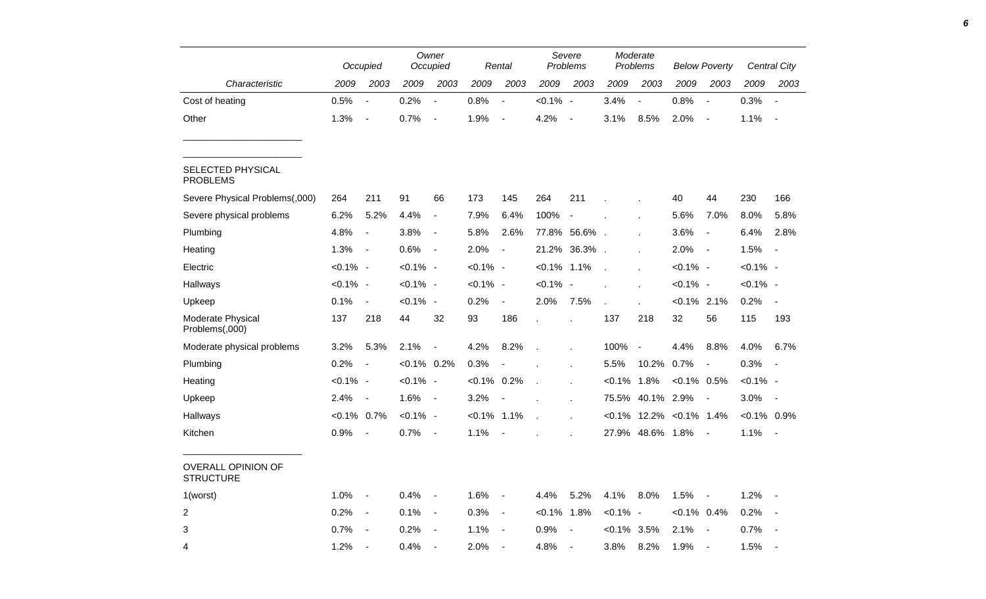|                                        |               | Occupied                 |                | Owner<br>Occupied        |                | Rental                   |                            | Severe<br>Problems |                | Moderate<br>Problems     |                                | <b>Below Poverty</b>     |                | <b>Central City</b>      |
|----------------------------------------|---------------|--------------------------|----------------|--------------------------|----------------|--------------------------|----------------------------|--------------------|----------------|--------------------------|--------------------------------|--------------------------|----------------|--------------------------|
| Characteristic                         | 2009          | 2003                     | 2009           | 2003                     | 2009           | 2003                     | 2009                       | 2003               | 2009           | 2003                     | 2009                           | 2003                     | 2009           | 2003                     |
| Cost of heating                        | 0.5%          | $\blacksquare$           | 0.2%           | $\overline{a}$           | 0.8%           | $\blacksquare$           | $< 0.1\%$ -                |                    | 3.4%           | $\blacksquare$           | 0.8%                           | $\blacksquare$           | 0.3%           | $\sim$                   |
| Other                                  | 1.3%          | $\blacksquare$           | 0.7%           | $\overline{\phantom{a}}$ | 1.9%           | $\overline{\phantom{a}}$ | 4.2%                       | $\blacksquare$     | 3.1%           | 8.5%                     | 2.0%                           | $\blacksquare$           | 1.1%           | $\sim$                   |
| SELECTED PHYSICAL<br><b>PROBLEMS</b>   |               |                          |                |                          |                |                          |                            |                    |                |                          |                                |                          |                |                          |
| Severe Physical Problems(,000)         | 264           | 211                      | 91             | 66                       | 173            | 145                      | 264                        | 211                |                |                          | 40                             | 44                       | 230            | 166                      |
| Severe physical problems               | 6.2%          | 5.2%                     | 4.4%           | $\overline{\phantom{a}}$ | 7.9%           | 6.4%                     | 100%                       | $\blacksquare$     |                |                          | 5.6%                           | 7.0%                     | 8.0%           | 5.8%                     |
| Plumbing                               | 4.8%          | $\blacksquare$           | 3.8%           | $\overline{\phantom{a}}$ | 5.8%           | 2.6%                     | 77.8%                      | 56.6%              |                |                          | 3.6%                           | $\overline{\phantom{a}}$ | 6.4%           | 2.8%                     |
| Heating                                | 1.3%          | $\overline{\phantom{a}}$ | 0.6%           | $\overline{\phantom{a}}$ | 2.0%           | $\overline{\phantom{a}}$ | 21.2%                      | 36.3%              |                | ÷.                       | 2.0%                           | $\overline{\phantom{a}}$ | 1.5%           | $\overline{\phantom{a}}$ |
| Electric                               | $< 0.1\%$ -   |                          | $< 0.1\%$ -    |                          | $< 0.1\%$ -    |                          | $< 0.1\%$                  | $1.1\%$            | $\overline{a}$ | L.                       | $< 0.1\%$ -                    |                          | $< 0.1\%$ -    |                          |
| Hallways                               | $< 0.1\%$ -   |                          | $< 0.1\%$ -    |                          | $< 0.1\%$ -    |                          | $< 0.1\%$ -                |                    |                | ×.                       | $< 0.1\%$ -                    |                          | $< 0.1\%$ -    |                          |
| Upkeep                                 | 0.1%          | $\overline{\phantom{a}}$ | $< 0.1\%$ -    |                          | 0.2%           | $\overline{\phantom{a}}$ | 2.0%                       | 7.5%               | $\mathbf{r}$   |                          | $< 0.1\%$ 2.1%                 |                          | 0.2%           | $\blacksquare$           |
| Moderate Physical<br>Problems(,000)    | 137           | 218                      | 44             | 32                       | 93             | 186                      | $\overline{a}$             |                    | 137            | 218                      | 32                             | 56                       | 115            | 193                      |
| Moderate physical problems             | 3.2%          | 5.3%                     | 2.1%           | $\overline{\phantom{a}}$ | 4.2%           | 8.2%                     | $\mathcal{L}_{\mathbf{z}}$ |                    | 100%           | $\overline{\phantom{a}}$ | 4.4%                           | 8.8%                     | 4.0%           | 6.7%                     |
| Plumbing                               | 0.2%          | $\overline{\phantom{a}}$ | $< 0.1\%$ 0.2% |                          | 0.3%           |                          |                            |                    | 5.5%           | 10.2%                    | 0.7%                           | $\frac{1}{2}$            | 0.3%           | $\overline{\phantom{a}}$ |
| Heating                                | $< 0.1\%$ -   |                          | $< 0.1\%$ -    |                          | $< 0.1\%$ 0.2% |                          |                            |                    | $< 0.1\%$      | 1.8%                     | $< 0.1\%$ 0.5%                 |                          | $< 0.1\%$ -    |                          |
| Upkeep                                 | 2.4%          | $\blacksquare$           | 1.6%           | $\blacksquare$           | 3.2%           |                          |                            | $\mathbf{r}$       |                | 75.5% 40.1% 2.9%         |                                | $\overline{\phantom{a}}$ | 3.0%           | $\sim$                   |
| Hallways                               | $<0.1\%$ 0.7% |                          | $< 0.1\%$ -    |                          | $< 0.1\%$ 1.1% |                          |                            |                    |                |                          | $< 0.1\%$ 12.2% $< 0.1\%$ 1.4% |                          | $< 0.1\%$ 0.9% |                          |
| Kitchen                                | 0.9%          | $\blacksquare$           | 0.7%           | $\blacksquare$           | 1.1%           |                          |                            |                    |                | 27.9% 48.6% 1.8%         |                                | $\blacksquare$           | 1.1%           | $\sim$                   |
| OVERALL OPINION OF<br><b>STRUCTURE</b> |               |                          |                |                          |                |                          |                            |                    |                |                          |                                |                          |                |                          |
| 1(worst)                               | 1.0%          | $\overline{\phantom{a}}$ | 0.4%           | $\overline{\phantom{a}}$ | 1.6%           | $\sim$                   | 4.4%                       | 5.2%               | 4.1%           | 8.0%                     | 1.5%                           | $\blacksquare$           | 1.2%           | $\sim$                   |
| $\overline{2}$                         | 0.2%          | $\blacksquare$           | 0.1%           | $\overline{\phantom{a}}$ | 0.3%           | $\overline{\phantom{a}}$ | $< 0.1\%$                  | 1.8%               | $< 0.1\%$ -    |                          | $< 0.1\%$ 0.4%                 |                          | 0.2%           | $\overline{\phantom{a}}$ |
| 3                                      | 0.7%          | $\blacksquare$           | 0.2%           | $\overline{\phantom{a}}$ | 1.1%           | $\overline{\phantom{a}}$ | 0.9%                       |                    | $<0.1\%$ 3.5%  |                          | 2.1%                           | $\overline{\phantom{a}}$ | 0.7%           | $\overline{\phantom{a}}$ |
| 4                                      | 1.2%          | $\sim$                   | 0.4%           | $\overline{a}$           | 2.0%           | $\overline{\phantom{a}}$ | 4.8%                       | $\blacksquare$     | 3.8%           | 8.2%                     | 1.9%                           | $\overline{\phantom{a}}$ | 1.5%           | $\overline{\phantom{a}}$ |